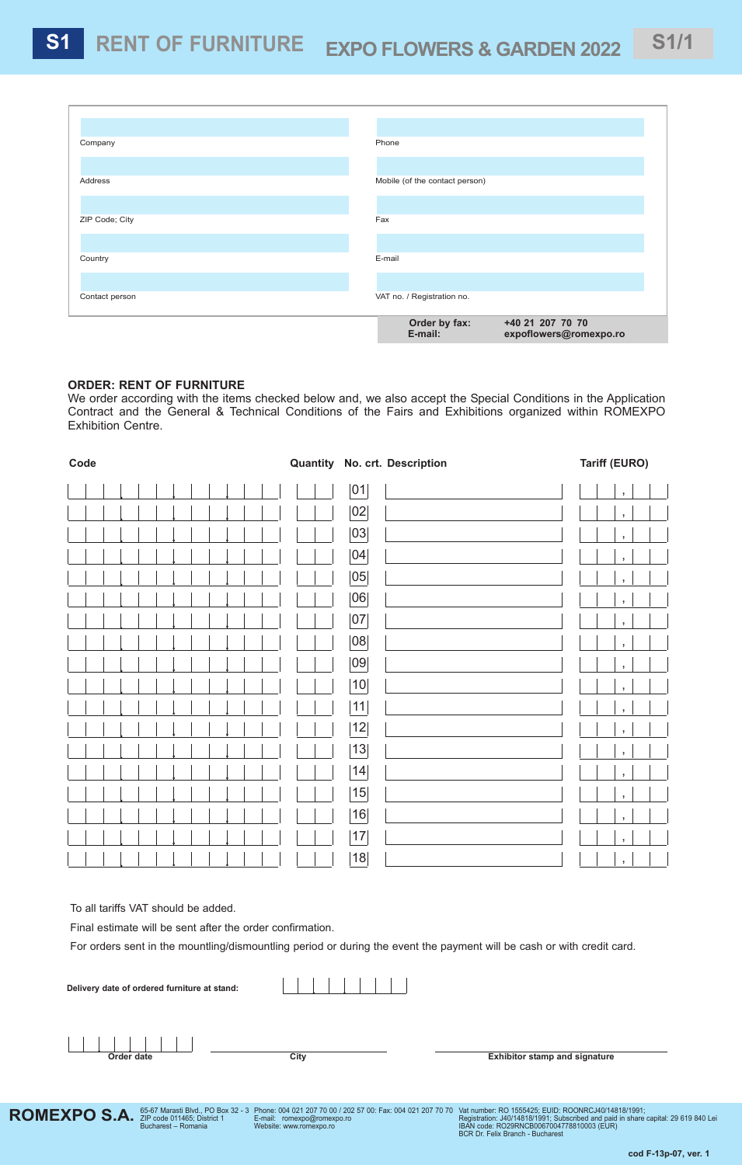| Company        | Phone                                                                  |
|----------------|------------------------------------------------------------------------|
| Address        |                                                                        |
|                | Mobile (of the contact person)                                         |
| ZIP Code; City | Fax                                                                    |
|                |                                                                        |
| Country        | E-mail                                                                 |
| Contact person | VAT no. / Registration no.                                             |
|                |                                                                        |
|                | Order by fax:<br>+40 21 207 70 70<br>E-mail:<br>expoflowers@romexpo.ro |

## **ORDER: RENT OF FURNITURE**

We order according with the items checked below and, we also accept the Special Conditions in the Application Contract and the General & Technical Conditions of the Fairs and Exhibitions organized within ROMEXPO Exhibition Centre.

| Code | Quantity No. crt. Description | <b>Tariff (EURO)</b>    |
|------|-------------------------------|-------------------------|
|      | 01                            | $\overline{1}$          |
|      | 02                            | $\,$ ,                  |
|      | 03                            | $\bar{\mathbf{z}}$      |
|      | 04                            | $\,$ ,                  |
|      | 05                            | $\overline{\mathbf{J}}$ |
|      | 06                            | $\overline{1}$          |
|      | 07                            | $\,$ ,                  |
|      | 08                            | $\,$ ,                  |
|      | 09                            | $\overline{1}$          |
|      | 10                            | $\,$                    |
|      | 11                            | $\overline{1}$          |
|      | 12                            | $\,$ ,                  |
|      | 13                            | $\,$ ,                  |
|      | 14                            | $\,$ ,                  |
|      | 15                            | $\bar{\mathbf{z}}$      |
|      | 16                            | $\overline{1}$          |
|      | 17                            | $\,$ ,                  |
|      | 18                            | $\,$ ,                  |

To all tariffs VAT should be added.

Final estimate will be sent after the order confirmation.

For orders sent in the mountling/dismountling period or during the event the payment will be cash or with credit card.

| Delivery date of ordered furniture at stand: |      |                                      |
|----------------------------------------------|------|--------------------------------------|
| Order date                                   | City | <b>Exhibitor stamp and signature</b> |



Phone: 004 021 207 70 00 / 202 57 00: Fax: 004 021 207 70 70 E-mail: romexpo@romexpo.ro Website: www.romexpo.ro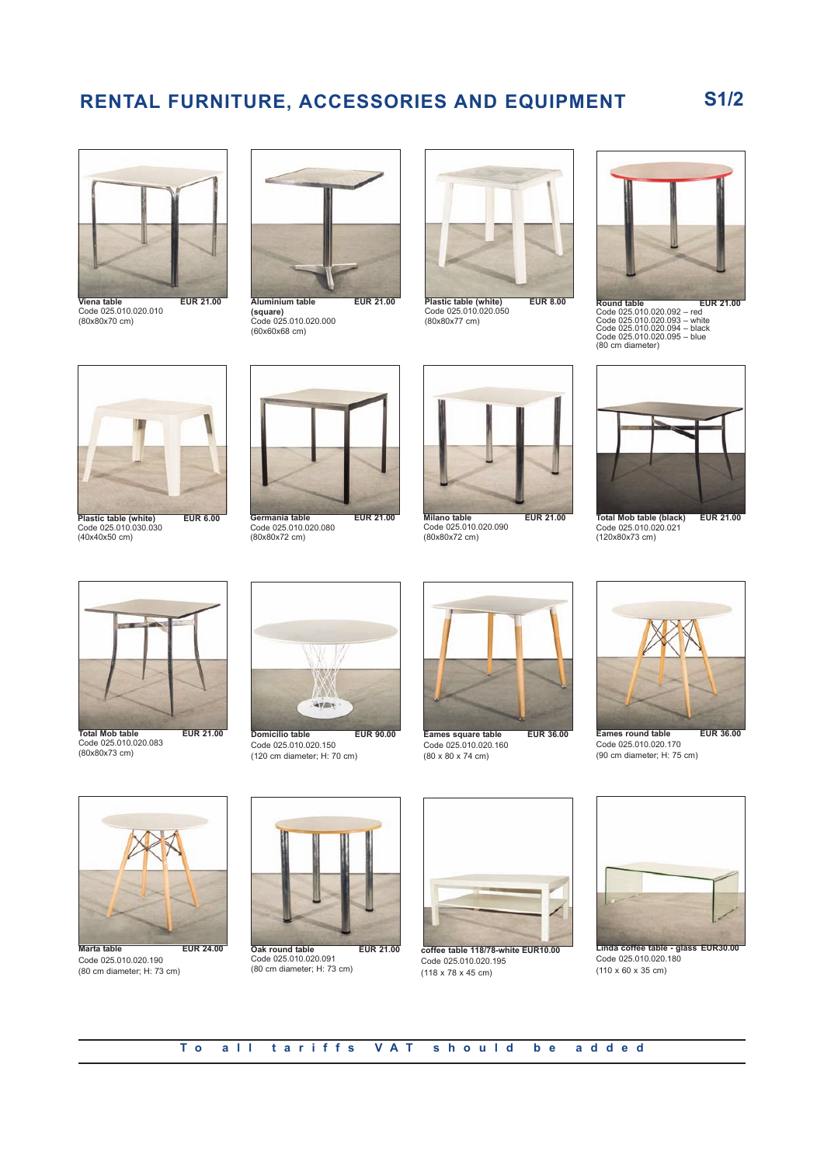## **RENTAL FURNITURE, ACCESSORIES AND EQUIPMENT S1/2**



**Viena table EUR 21.00** Code 025.010.020.010 (80x80x70 cm)



**(square)** Code 025.010.020.000 (60x60x68 cm)



**Plastic table (white) EUR 8.00** Code 025.010.020.050 (80x80x77 cm)



**Round table EUR 21.00** Code 025.010.020.092 – red Code 025.010.020.093 – white Code 025.010.020.094 – black Code 025.010.020.095 – blue (80 cm diameter)



Code 025.010.030.030 (40x40x50 cm)



Code 025.010.020.080 (80x80x72 cm)



Code 025.010.020.090 (80x80x72 cm)



**Total Mob table (black) EUR 21.00** Code 025.010.020.021 (120x80x73 cm)



**Total Mob table EUR 21.00** Code 025.010.020.083 (80x80x73 cm)



Code 025.010.020.150 (120 cm diameter; H: 70 cm)



Code 025.010.020.160 (80 x 80 x 74 cm)



**Eames round table EUR 36.00** Code 025.010.020.170 (90 cm diameter; H: 75 cm)



Code 025.010.020.190 (80 cm diameter; H: 73 cm)



Code 025.010.020.091 (80 cm diameter; H: 73 cm)



Code 025.010.020.195  $(118 \times 78 \times 45 \text{ cm})$ 



Code 025.010.020.180 (110 x 60 x 35 cm)